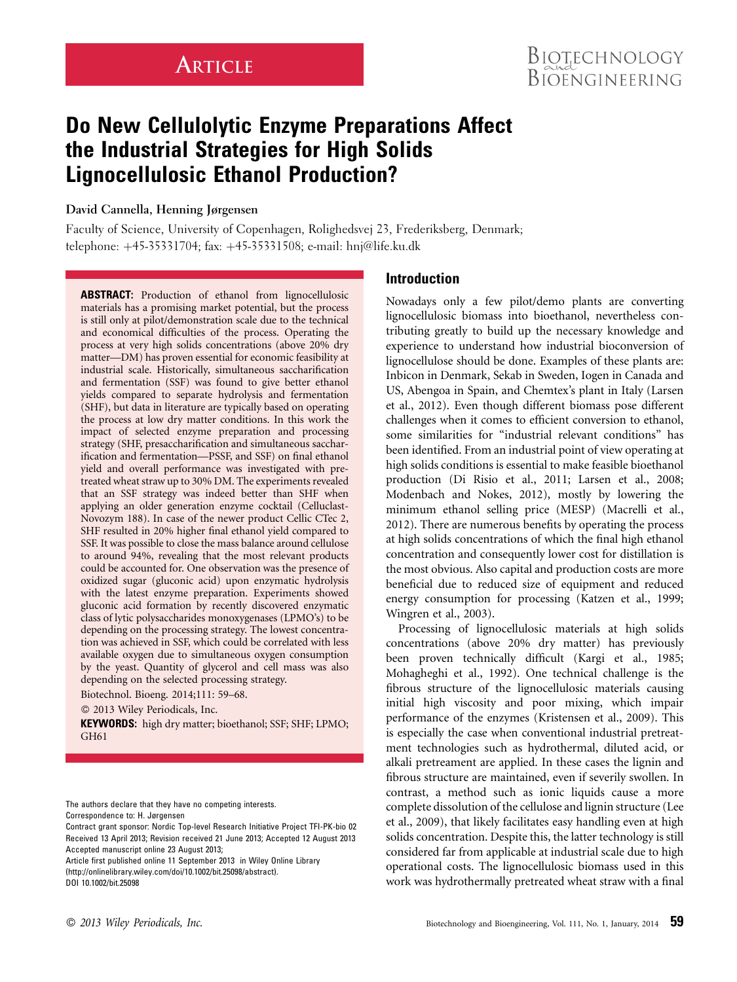# **ARTICLE**

# Do New Cellulolytic Enzyme Preparations Affect the Industrial Strategies for High Solids Lignocellulosic Ethanol Production?

# David Cannella, Henning Jørgensen

Faculty of Science, University of Copenhagen, Rolighedsvej 23, Frederiksberg, Denmark; telephone: +45-35331704; fax: +45-35331508; e-mail: hnj@life.ku.dk

ABSTRACT: Production of ethanol from lignocellulosic materials has a promising market potential, but the process is still only at pilot/demonstration scale due to the technical and economical difficulties of the process. Operating the process at very high solids concentrations (above 20% dry matter—DM) has proven essential for economic feasibility at industrial scale. Historically, simultaneous saccharification and fermentation (SSF) was found to give better ethanol yields compared to separate hydrolysis and fermentation (SHF), but data in literature are typically based on operating the process at low dry matter conditions. In this work the impact of selected enzyme preparation and processing strategy (SHF, presaccharification and simultaneous saccharification and fermentation—PSSF, and SSF) on final ethanol yield and overall performance was investigated with pretreated wheat straw up to 30% DM. The experiments revealed that an SSF strategy was indeed better than SHF when applying an older generation enzyme cocktail (Celluclast-Novozym 188). In case of the newer product Cellic CTec 2, SHF resulted in 20% higher final ethanol yield compared to SSF. It was possible to close the mass balance around cellulose to around 94%, revealing that the most relevant products could be accounted for. One observation was the presence of oxidized sugar (gluconic acid) upon enzymatic hydrolysis with the latest enzyme preparation. Experiments showed gluconic acid formation by recently discovered enzymatic class of lytic polysaccharides monoxygenases (LPMO's) to be depending on the processing strategy. The lowest concentration was achieved in SSF, which could be correlated with less available oxygen due to simultaneous oxygen consumption by the yeast. Quantity of glycerol and cell mass was also depending on the selected processing strategy.

Biotechnol. Bioeng. 2014;111: 59–68.

2013 Wiley Periodicals, Inc.

KEYWORDS: high dry matter; bioethanol; SSF; SHF; LPMO; GH61

The authors declare that they have no competing interests.

Correspondence to: H. Jørgensen

Contract grant sponsor: Nordic Top-level Research Initiative Project TFI-PK-bio 02 Received 13 April 2013; Revision received 21 June 2013; Accepted 12 August 2013 Accepted manuscript online 23 August 2013;

Article first published online 11 September 2013 in Wiley Online Library (http://onlinelibrary.wiley.com/doi/10.1002/bit.25098/abstract). DOI 10.1002/bit.25098

# Introduction

Nowadays only a few pilot/demo plants are converting lignocellulosic biomass into bioethanol, nevertheless contributing greatly to build up the necessary knowledge and experience to understand how industrial bioconversion of lignocellulose should be done. Examples of these plants are: Inbicon in Denmark, Sekab in Sweden, Iogen in Canada and US, Abengoa in Spain, and Chemtex's plant in Italy (Larsen et al., 2012). Even though different biomass pose different challenges when it comes to efficient conversion to ethanol, some similarities for "industrial relevant conditions" has been identified. From an industrial point of view operating at high solids conditions is essential to make feasible bioethanol production (Di Risio et al., 2011; Larsen et al., 2008; Modenbach and Nokes, 2012), mostly by lowering the minimum ethanol selling price (MESP) (Macrelli et al., 2012). There are numerous benefits by operating the process at high solids concentrations of which the final high ethanol concentration and consequently lower cost for distillation is the most obvious. Also capital and production costs are more beneficial due to reduced size of equipment and reduced energy consumption for processing (Katzen et al., 1999; Wingren et al., 2003).

Processing of lignocellulosic materials at high solids concentrations (above 20% dry matter) has previously been proven technically difficult (Kargi et al., 1985; Mohagheghi et al., 1992). One technical challenge is the fibrous structure of the lignocellulosic materials causing initial high viscosity and poor mixing, which impair performance of the enzymes (Kristensen et al., 2009). This is especially the case when conventional industrial pretreatment technologies such as hydrothermal, diluted acid, or alkali pretreament are applied. In these cases the lignin and fibrous structure are maintained, even if severily swollen. In contrast, a method such as ionic liquids cause a more complete dissolution of the cellulose and lignin structure (Lee et al., 2009), that likely facilitates easy handling even at high solids concentration. Despite this, the latter technology is still considered far from applicable at industrial scale due to high operational costs. The lignocellulosic biomass used in this work was hydrothermally pretreated wheat straw with a final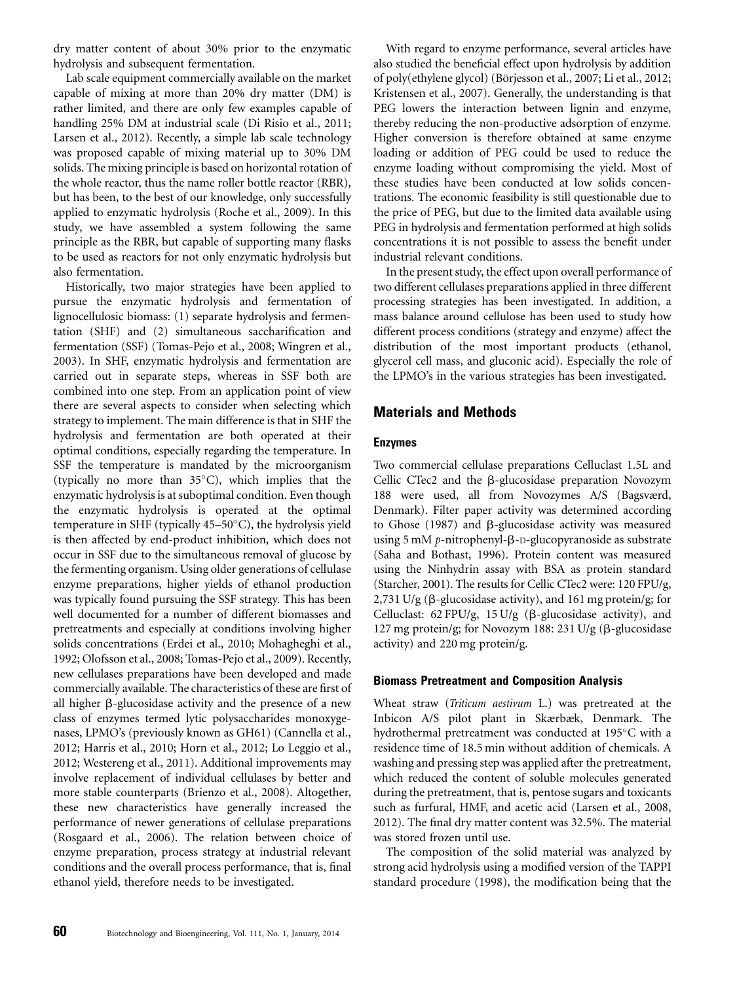dry matter content of about 30% prior to the enzymatic hydrolysis and subsequent fermentation.

Lab scale equipment commercially available on the market capable of mixing at more than 20% dry matter (DM) is rather limited, and there are only few examples capable of handling 25% DM at industrial scale (Di Risio et al., 2011; Larsen et al., 2012). Recently, a simple lab scale technology was proposed capable of mixing material up to 30% DM solids. The mixing principle is based on horizontal rotation of the whole reactor, thus the name roller bottle reactor (RBR), but has been, to the best of our knowledge, only successfully applied to enzymatic hydrolysis (Roche et al., 2009). In this study, we have assembled a system following the same principle as the RBR, but capable of supporting many flasks to be used as reactors for not only enzymatic hydrolysis but also fermentation.

Historically, two major strategies have been applied to pursue the enzymatic hydrolysis and fermentation of lignocellulosic biomass: (1) separate hydrolysis and fermentation (SHF) and (2) simultaneous saccharification and fermentation (SSF) (Tomas-Pejo et al., 2008; Wingren et al., 2003). In SHF, enzymatic hydrolysis and fermentation are carried out in separate steps, whereas in SSF both are combined into one step. From an application point of view there are several aspects to consider when selecting which strategy to implement. The main difference is that in SHF the hydrolysis and fermentation are both operated at their optimal conditions, especially regarding the temperature. In SSF the temperature is mandated by the microorganism (typically no more than  $35^{\circ}$ C), which implies that the enzymatic hydrolysis is at suboptimal condition. Even though the enzymatic hydrolysis is operated at the optimal temperature in SHF (typically 45-50°C), the hydrolysis yield is then affected by end-product inhibition, which does not occur in SSF due to the simultaneous removal of glucose by the fermenting organism. Using older generations of cellulase enzyme preparations, higher yields of ethanol production was typically found pursuing the SSF strategy. This has been well documented for a number of different biomasses and pretreatments and especially at conditions involving higher solids concentrations (Erdei et al., 2010; Mohagheghi et al., 1992; Olofsson et al., 2008; Tomas-Pejo et al., 2009). Recently, new cellulases preparations have been developed and made commercially available. The characteristics of these are first of all higher  $\beta$ -glucosidase activity and the presence of a new class of enzymes termed lytic polysaccharides monoxygenases, LPMO's (previously known as GH61) (Cannella et al., 2012; Harris et al., 2010; Horn et al., 2012; Lo Leggio et al., 2012; Westereng et al., 2011). Additional improvements may involve replacement of individual cellulases by better and more stable counterparts (Brienzo et al., 2008). Altogether, these new characteristics have generally increased the performance of newer generations of cellulase preparations (Rosgaard et al., 2006). The relation between choice of enzyme preparation, process strategy at industrial relevant conditions and the overall process performance, that is, final ethanol yield, therefore needs to be investigated.

With regard to enzyme performance, several articles have also studied the beneficial effect upon hydrolysis by addition of poly(ethylene glycol) (Börjesson et al., 2007; Li et al., 2012; Kristensen et al., 2007). Generally, the understanding is that PEG lowers the interaction between lignin and enzyme, thereby reducing the non-productive adsorption of enzyme. Higher conversion is therefore obtained at same enzyme loading or addition of PEG could be used to reduce the enzyme loading without compromising the yield. Most of these studies have been conducted at low solids concentrations. The economic feasibility is still questionable due to the price of PEG, but due to the limited data available using PEG in hydrolysis and fermentation performed at high solids concentrations it is not possible to assess the benefit under industrial relevant conditions.

In the present study, the effect upon overall performance of two different cellulases preparations applied in three different processing strategies has been investigated. In addition, a mass balance around cellulose has been used to study how different process conditions (strategy and enzyme) affect the distribution of the most important products (ethanol, glycerol cell mass, and gluconic acid). Especially the role of the LPMO's in the various strategies has been investigated.

# Materials and Methods

#### Enzymes

Two commercial cellulase preparations Celluclast 1.5L and Cellic CTec2 and the  $\beta$ -glucosidase preparation Novozym 188 were used, all from Novozymes A/S (Bagsværd, Denmark). Filter paper activity was determined according to Ghose (1987) and  $\beta$ -glucosidase activity was measured using 5 mM  $p$ -nitrophenyl- $\beta$ -D-glucopyranoside as substrate (Saha and Bothast, 1996). Protein content was measured using the Ninhydrin assay with BSA as protein standard (Starcher, 2001). The results for Cellic CTec2 were: 120 FPU/g, 2,731 U/g ( $\beta$ -glucosidase activity), and 161 mg protein/g; for Celluclast:  $62$  FPU/g,  $15$  U/g ( $\beta$ -glucosidase activity), and 127 mg protein/g; for Novozym 188: 231 U/g (β-glucosidase activity) and 220 mg protein/g.

#### Biomass Pretreatment and Composition Analysis

Wheat straw (Triticum aestivum L.) was pretreated at the Inbicon A/S pilot plant in Skærbæk, Denmark. The hydrothermal pretreatment was conducted at 195°C with a residence time of 18.5 min without addition of chemicals. A washing and pressing step was applied after the pretreatment, which reduced the content of soluble molecules generated during the pretreatment, that is, pentose sugars and toxicants such as furfural, HMF, and acetic acid (Larsen et al., 2008, 2012). The final dry matter content was 32.5%. The material was stored frozen until use.

The composition of the solid material was analyzed by strong acid hydrolysis using a modified version of the TAPPI standard procedure (1998), the modification being that the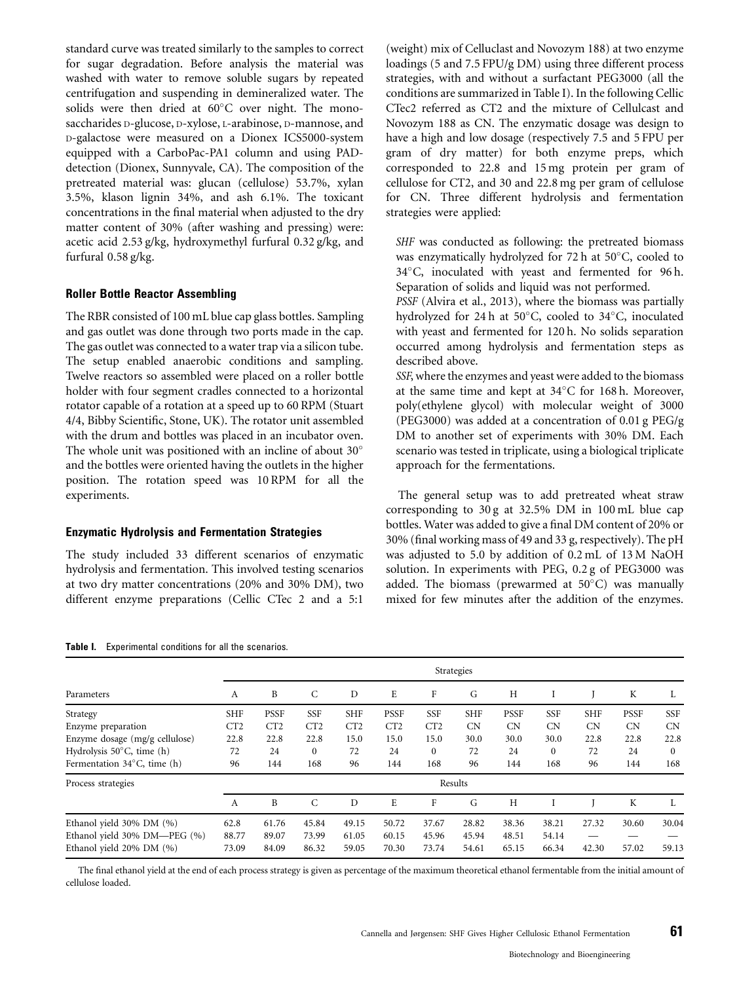standard curve was treated similarly to the samples to correct for sugar degradation. Before analysis the material was washed with water to remove soluble sugars by repeated centrifugation and suspending in demineralized water. The solids were then dried at  $60^{\circ}$ C over night. The monosaccharides D-glucose, D-xylose, L-arabinose, D-mannose, and D-galactose were measured on a Dionex ICS5000-system equipped with a CarboPac-PA1 column and using PADdetection (Dionex, Sunnyvale, CA). The composition of the pretreated material was: glucan (cellulose) 53.7%, xylan 3.5%, klason lignin 34%, and ash 6.1%. The toxicant concentrations in the final material when adjusted to the dry matter content of 30% (after washing and pressing) were: acetic acid 2.53 g/kg, hydroxymethyl furfural 0.32 g/kg, and furfural 0.58 g/kg.

#### Roller Bottle Reactor Assembling

The RBR consisted of 100 mL blue cap glass bottles. Sampling and gas outlet was done through two ports made in the cap. The gas outlet was connected to a water trap via a silicon tube. The setup enabled anaerobic conditions and sampling. Twelve reactors so assembled were placed on a roller bottle holder with four segment cradles connected to a horizontal rotator capable of a rotation at a speed up to 60 RPM (Stuart 4/4, Bibby Scientific, Stone, UK). The rotator unit assembled with the drum and bottles was placed in an incubator oven. The whole unit was positioned with an incline of about  $30^{\circ}$ and the bottles were oriented having the outlets in the higher position. The rotation speed was 10 RPM for all the experiments.

#### Enzymatic Hydrolysis and Fermentation Strategies

Table I. Experimental conditions for all the scenarios.

The study included 33 different scenarios of enzymatic hydrolysis and fermentation. This involved testing scenarios at two dry matter concentrations (20% and 30% DM), two different enzyme preparations (Cellic CTec 2 and a 5:1

(weight) mix of Celluclast and Novozym 188) at two enzyme loadings (5 and 7.5 FPU/g DM) using three different process strategies, with and without a surfactant PEG3000 (all the conditions are summarized in Table I). In the following Cellic CTec2 referred as CT2 and the mixture of Cellulcast and Novozym 188 as CN. The enzymatic dosage was design to have a high and low dosage (respectively 7.5 and 5 FPU per gram of dry matter) for both enzyme preps, which corresponded to 22.8 and 15 mg protein per gram of cellulose for CT2, and 30 and 22.8 mg per gram of cellulose for CN. Three different hydrolysis and fermentation strategies were applied:

SHF was conducted as following: the pretreated biomass was enzymatically hydrolyzed for 72 h at 50 $^{\circ}$ C, cooled to 34°C, inoculated with yeast and fermented for 96 h. Separation of solids and liquid was not performed.

PSSF (Alvira et al., 2013), where the biomass was partially hydrolyzed for 24 h at 50°C, cooled to 34°C, inoculated with yeast and fermented for 120 h. No solids separation occurred among hydrolysis and fermentation steps as described above.

SSF, where the enzymes and yeast were added to the biomass at the same time and kept at  $34^{\circ}$ C for 168 h. Moreover, poly(ethylene glycol) with molecular weight of 3000 (PEG3000) was added at a concentration of 0.01 g PEG/g DM to another set of experiments with 30% DM. Each scenario was tested in triplicate, using a biological triplicate approach for the fermentations.

The general setup was to add pretreated wheat straw corresponding to 30 g at 32.5% DM in 100 mL blue cap bottles. Water was added to give a final DM content of 20% or 30% (final working mass of 49 and 33 g, respectively). The pH was adjusted to 5.0 by addition of 0.2 mL of 13 M NaOH solution. In experiments with PEG, 0.2 g of PEG3000 was added. The biomass (prewarmed at 50°C) was manually mixed for few minutes after the addition of the enzymes.

| Parameters                            | Strategies |             |              |            |             |              |            |             |            |            |             |              |
|---------------------------------------|------------|-------------|--------------|------------|-------------|--------------|------------|-------------|------------|------------|-------------|--------------|
|                                       | A          | B           | $\mathsf{C}$ | D          | E           | F            | G          | H           |            |            | K           | L            |
| Strategy                              | <b>SHF</b> | <b>PSSF</b> | <b>SSF</b>   | <b>SHF</b> | <b>PSSF</b> | <b>SSF</b>   | <b>SHF</b> | <b>PSSF</b> | <b>SSF</b> | <b>SHF</b> | <b>PSSF</b> | <b>SSF</b>   |
| Enzyme preparation                    | CT2        | CT2         | CT2          | CT2        | CT2         | CT2          | <b>CN</b>  | CN          | CN         | <b>CN</b>  | CN          | <b>CN</b>    |
| Enzyme dosage (mg/g cellulose)        | 22.8       | 22.8        | 22.8         | 15.0       | 15.0        | 15.0         | 30.0       | 30.0        | 30.0       | 22.8       | 22.8        | 22.8         |
| Hydrolysis $50^{\circ}$ C, time (h)   | 72         | 24          | $\mathbf{0}$ | 72         | 24          | $\mathbf{0}$ | 72         | 24          | $\Omega$   | 72         | 24          | $\mathbf{0}$ |
| Fermentation $34^{\circ}$ C, time (h) | 96         | 144         | 168          | 96         | 144         | 168          | 96         | 144         | 168        | 96         | 144         | 168          |
| Process strategies                    | Results    |             |              |            |             |              |            |             |            |            |             |              |
|                                       | A          | B           | C            | D          | E           | F            | G          | Н           |            |            | K           |              |
| Ethanol yield 30% DM (%)              | 62.8       | 61.76       | 45.84        | 49.15      | 50.72       | 37.67        | 28.82      | 38.36       | 38.21      | 27.32      | 30.60       | 30.04        |
| Ethanol yield 30% DM-PEG (%)          | 88.77      | 89.07       | 73.99        | 61.05      | 60.15       | 45.96        | 45.94      | 48.51       | 54.14      |            |             |              |
| Ethanol yield 20% DM (%)              | 73.09      | 84.09       | 86.32        | 59.05      | 70.30       | 73.74        | 54.61      | 65.15       | 66.34      | 42.30      | 57.02       | 59.13        |

The final ethanol yield at the end of each process strategy is given as percentage of the maximum theoretical ethanol fermentable from the initial amount of cellulose loaded.

#### Cannella and Jørgensen: SHF Gives Higher Cellulosic Ethanol Fermentation  $\overline{\textbf{61}}$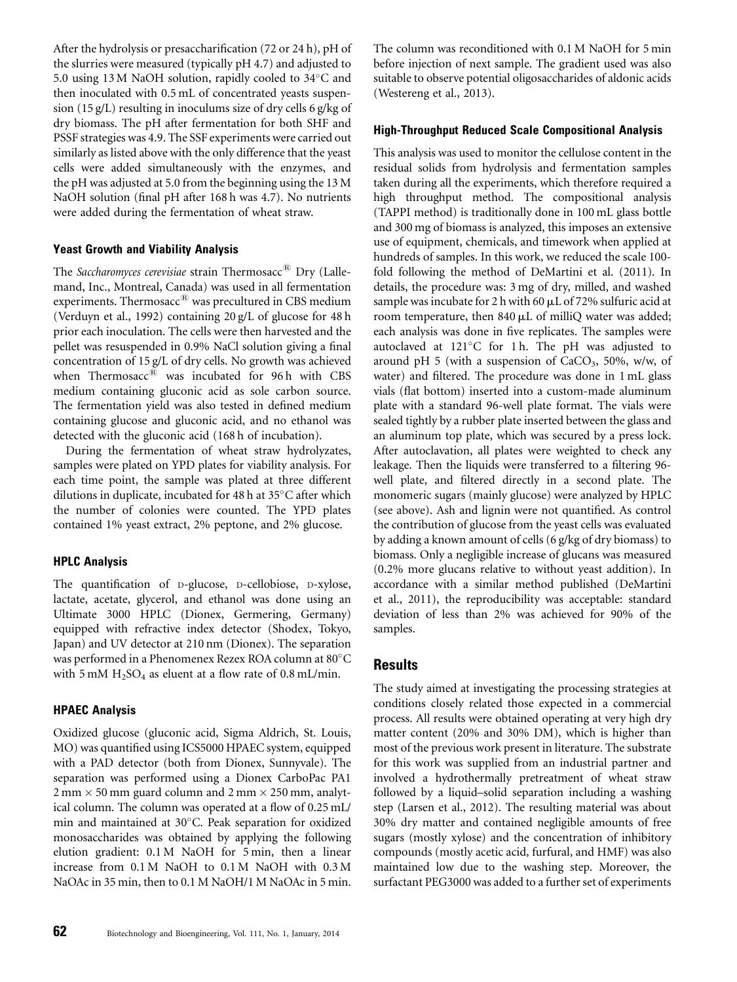After the hydrolysis or presaccharification (72 or 24 h), pH of the slurries were measured (typically pH 4.7) and adjusted to 5.0 using 13 M NaOH solution, rapidly cooled to 34°C and then inoculated with 0.5 mL of concentrated yeasts suspension (15 g/L) resulting in inoculums size of dry cells 6 g/kg of dry biomass. The pH after fermentation for both SHF and PSSF strategies was 4.9. The SSF experiments were carried out similarly as listed above with the only difference that the yeast cells were added simultaneously with the enzymes, and the pH was adjusted at 5.0 from the beginning using the 13 M NaOH solution (final pH after 168 h was 4.7). No nutrients were added during the fermentation of wheat straw.

## Yeast Growth and Viability Analysis

The Saccharomyces cerevisiae strain Thermosacc<sup>®</sup> Dry (Lallemand, Inc., Montreal, Canada) was used in all fermentation experiments. Thermosacc® was precultured in CBS medium (Verduyn et al., 1992) containing 20 g/L of glucose for 48 h prior each inoculation. The cells were then harvested and the pellet was resuspended in 0.9% NaCl solution giving a final concentration of 15 g/L of dry cells. No growth was achieved when Thermosacc $\overline{B}$  was incubated for 96 h with CBS medium containing gluconic acid as sole carbon source. The fermentation yield was also tested in defined medium containing glucose and gluconic acid, and no ethanol was detected with the gluconic acid (168 h of incubation).

During the fermentation of wheat straw hydrolyzates, samples were plated on YPD plates for viability analysis. For each time point, the sample was plated at three different dilutions in duplicate, incubated for 48 h at 35 $^{\circ}$ C after which the number of colonies were counted. The YPD plates contained 1% yeast extract, 2% peptone, and 2% glucose.

# HPLC Analysis

The quantification of D-glucose, D-cellobiose, D-xylose, lactate, acetate, glycerol, and ethanol was done using an Ultimate 3000 HPLC (Dionex, Germering, Germany) equipped with refractive index detector (Shodex, Tokyo, Japan) and UV detector at 210 nm (Dionex). The separation was performed in a Phenomenex Rezex ROA column at  $80^\circ\mathrm{C}$ with 5 mM  $H_2SO_4$  as eluent at a flow rate of 0.8 mL/min.

#### HPAEC Analysis

Oxidized glucose (gluconic acid, Sigma Aldrich, St. Louis, MO) was quantified using ICS5000 HPAEC system, equipped with a PAD detector (both from Dionex, Sunnyvale). The separation was performed using a Dionex CarboPac PA1  $2 \text{ mm} \times 50 \text{ mm}$  guard column and  $2 \text{ mm} \times 250 \text{ mm}$ , analytical column. The column was operated at a flow of 0.25 mL/ min and maintained at 30°C. Peak separation for oxidized monosaccharides was obtained by applying the following elution gradient: 0.1 M NaOH for 5 min, then a linear increase from 0.1 M NaOH to 0.1 M NaOH with 0.3 M NaOAc in 35 min, then to 0.1 M NaOH/1 M NaOAc in 5 min.

The column was reconditioned with 0.1 M NaOH for 5 min before injection of next sample. The gradient used was also suitable to observe potential oligosaccharides of aldonic acids (Westereng et al., 2013).

#### High-Throughput Reduced Scale Compositional Analysis

This analysis was used to monitor the cellulose content in the residual solids from hydrolysis and fermentation samples taken during all the experiments, which therefore required a high throughput method. The compositional analysis (TAPPI method) is traditionally done in 100 mL glass bottle and 300 mg of biomass is analyzed, this imposes an extensive use of equipment, chemicals, and timework when applied at hundreds of samples. In this work, we reduced the scale 100 fold following the method of DeMartini et al. (2011). In details, the procedure was: 3 mg of dry, milled, and washed sample was incubate for 2 h with 60  $\mu$ L of 72% sulfuric acid at room temperature, then  $840 \mu L$  of milliQ water was added; each analysis was done in five replicates. The samples were autoclaved at 121°C for 1 h. The pH was adjusted to around pH 5 (with a suspension of  $CaCO<sub>3</sub>$ , 50%, w/w, of water) and filtered. The procedure was done in 1 mL glass vials (flat bottom) inserted into a custom-made aluminum plate with a standard 96-well plate format. The vials were sealed tightly by a rubber plate inserted between the glass and an aluminum top plate, which was secured by a press lock. After autoclavation, all plates were weighted to check any leakage. Then the liquids were transferred to a filtering 96 well plate, and filtered directly in a second plate. The monomeric sugars (mainly glucose) were analyzed by HPLC (see above). Ash and lignin were not quantified. As control the contribution of glucose from the yeast cells was evaluated by adding a known amount of cells (6 g/kg of dry biomass) to biomass. Only a negligible increase of glucans was measured (0.2% more glucans relative to without yeast addition). In accordance with a similar method published (DeMartini et al., 2011), the reproducibility was acceptable: standard deviation of less than 2% was achieved for 90% of the samples.

# Results

The study aimed at investigating the processing strategies at conditions closely related those expected in a commercial process. All results were obtained operating at very high dry matter content (20% and 30% DM), which is higher than most of the previous work present in literature. The substrate for this work was supplied from an industrial partner and involved a hydrothermally pretreatment of wheat straw followed by a liquid–solid separation including a washing step (Larsen et al., 2012). The resulting material was about 30% dry matter and contained negligible amounts of free sugars (mostly xylose) and the concentration of inhibitory compounds (mostly acetic acid, furfural, and HMF) was also maintained low due to the washing step. Moreover, the surfactant PEG3000 was added to a further set of experiments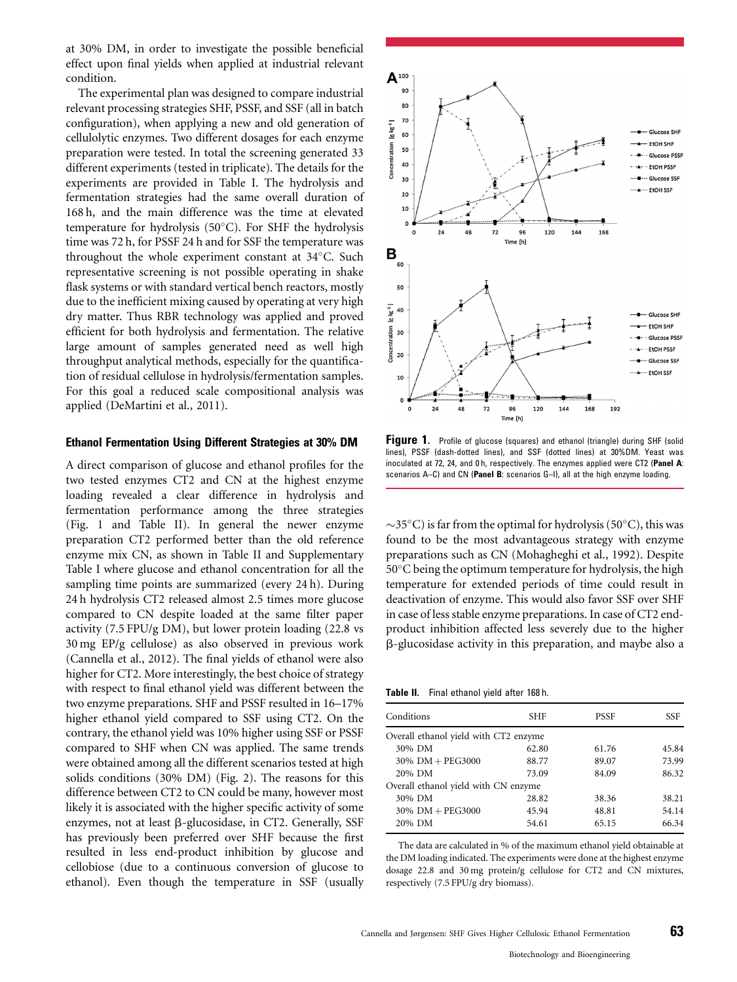at 30% DM, in order to investigate the possible beneficial effect upon final yields when applied at industrial relevant condition.

The experimental plan was designed to compare industrial relevant processing strategies SHF, PSSF, and SSF (all in batch configuration), when applying a new and old generation of cellulolytic enzymes. Two different dosages for each enzyme preparation were tested. In total the screening generated 33 different experiments (tested in triplicate). The details for the experiments are provided in Table I. The hydrolysis and fermentation strategies had the same overall duration of 168 h, and the main difference was the time at elevated temperature for hydrolysis (50°C). For SHF the hydrolysis time was 72 h, for PSSF 24 h and for SSF the temperature was throughout the whole experiment constant at 34°C. Such representative screening is not possible operating in shake flask systems or with standard vertical bench reactors, mostly due to the inefficient mixing caused by operating at very high dry matter. Thus RBR technology was applied and proved efficient for both hydrolysis and fermentation. The relative large amount of samples generated need as well high throughput analytical methods, especially for the quantification of residual cellulose in hydrolysis/fermentation samples. For this goal a reduced scale compositional analysis was applied (DeMartini et al., 2011).

#### Ethanol Fermentation Using Different Strategies at 30% DM

A direct comparison of glucose and ethanol profiles for the two tested enzymes CT2 and CN at the highest enzyme loading revealed a clear difference in hydrolysis and fermentation performance among the three strategies (Fig. 1 and Table II). In general the newer enzyme preparation CT2 performed better than the old reference enzyme mix CN, as shown in Table II and Supplementary Table I where glucose and ethanol concentration for all the sampling time points are summarized (every 24 h). During 24 h hydrolysis CT2 released almost 2.5 times more glucose compared to CN despite loaded at the same filter paper activity (7.5 FPU/g DM), but lower protein loading (22.8 vs 30 mg EP/g cellulose) as also observed in previous work (Cannella et al., 2012). The final yields of ethanol were also higher for CT2. More interestingly, the best choice of strategy with respect to final ethanol yield was different between the two enzyme preparations. SHF and PSSF resulted in 16–17% higher ethanol yield compared to SSF using CT2. On the contrary, the ethanol yield was 10% higher using SSF or PSSF compared to SHF when CN was applied. The same trends were obtained among all the different scenarios tested at high solids conditions (30% DM) (Fig. 2). The reasons for this difference between CT2 to CN could be many, however most likely it is associated with the higher specific activity of some enzymes, not at least  $\beta$ -glucosidase, in CT2. Generally, SSF has previously been preferred over SHF because the first resulted in less end-product inhibition by glucose and cellobiose (due to a continuous conversion of glucose to ethanol). Even though the temperature in SSF (usually



Figure 1. Profile of glucose (squares) and ethanol (triangle) during SHF (solid lines), PSSF (dash-dotted lines), and SSF (dotted lines) at 30%DM. Yeast was inoculated at 72, 24, and 0 h, respectively. The enzymes applied were CT2 (Panel A: scenarios A–C) and CN (Panel B: scenarios G–I), all at the high enzyme loading.

 $\sim$ 35°C) is far from the optimal for hydrolysis (50°C), this was found to be the most advantageous strategy with enzyme preparations such as CN (Mohagheghi et al., 1992). Despite  $50^{\circ}$ C being the optimum temperature for hydrolysis, the high temperature for extended periods of time could result in deactivation of enzyme. This would also favor SSF over SHF in case of less stable enzyme preparations. In case of CT2 endproduct inhibition affected less severely due to the higher b-glucosidase activity in this preparation, and maybe also a

Table II. Final ethanol yield after 168 h.

| Conditions                            | SHF   | <b>PSSF</b> | SSF   |
|---------------------------------------|-------|-------------|-------|
| Overall ethanol yield with CT2 enzyme |       |             |       |
| 30% DM                                | 62.80 | 61.76       | 45.84 |
| $30\%$ DM + PEG3000                   | 88.77 | 89.07       | 73.99 |
| 20% DM                                | 73.09 | 84.09       | 86.32 |
| Overall ethanol yield with CN enzyme  |       |             |       |
| 30% DM                                | 28.82 | 38.36       | 38.21 |
| $30\%$ DM + PEG3000                   | 45.94 | 48.81       | 54.14 |
| 20% DM                                | 54.61 | 65.15       | 66.34 |

The data are calculated in % of the maximum ethanol yield obtainable at the DM loading indicated. The experiments were done at the highest enzyme dosage 22.8 and 30 mg protein/g cellulose for CT2 and CN mixtures, respectively (7.5 FPU/g dry biomass).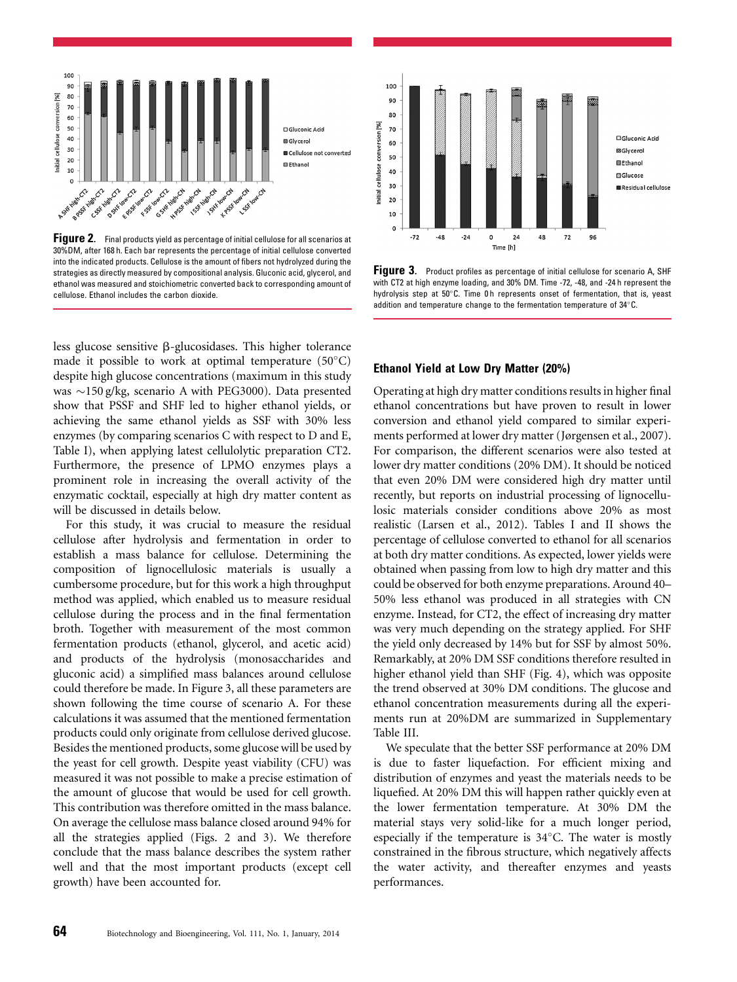

**Figure 2.** Final products yield as percentage of initial cellulose for all scenarios at 30%DM, after 168 h. Each bar represents the percentage of initial cellulose converted into the indicated products. Cellulose is the amount of fibers not hydrolyzed during the strategies as directly measured by compositional analysis. Gluconic acid, glycerol, and ethanol was measured and stoichiometric converted back to corresponding amount of cellulose. Ethanol includes the carbon dioxide.

less glucose sensitive  $\beta$ -glucosidases. This higher tolerance made it possible to work at optimal temperature  $(50^{\circ}C)$ despite high glucose concentrations (maximum in this study was  $\sim$ 150 g/kg, scenario A with PEG3000). Data presented show that PSSF and SHF led to higher ethanol yields, or achieving the same ethanol yields as SSF with 30% less enzymes (by comparing scenarios C with respect to D and E, Table I), when applying latest cellulolytic preparation CT2. Furthermore, the presence of LPMO enzymes plays a prominent role in increasing the overall activity of the enzymatic cocktail, especially at high dry matter content as will be discussed in details below.

For this study, it was crucial to measure the residual cellulose after hydrolysis and fermentation in order to establish a mass balance for cellulose. Determining the composition of lignocellulosic materials is usually a cumbersome procedure, but for this work a high throughput method was applied, which enabled us to measure residual cellulose during the process and in the final fermentation broth. Together with measurement of the most common fermentation products (ethanol, glycerol, and acetic acid) and products of the hydrolysis (monosaccharides and gluconic acid) a simplified mass balances around cellulose could therefore be made. In Figure 3, all these parameters are shown following the time course of scenario A. For these calculations it was assumed that the mentioned fermentation products could only originate from cellulose derived glucose. Besides the mentioned products, some glucose will be used by the yeast for cell growth. Despite yeast viability (CFU) was measured it was not possible to make a precise estimation of the amount of glucose that would be used for cell growth. This contribution was therefore omitted in the mass balance. On average the cellulose mass balance closed around 94% for all the strategies applied (Figs. 2 and 3). We therefore conclude that the mass balance describes the system rather well and that the most important products (except cell growth) have been accounted for.



Figure 3. Product profiles as percentage of initial cellulose for scenario A, SHF with CT2 at high enzyme loading, and 30% DM. Time -72, -48, and -24 h represent the hydrolysis step at 50°C. Time 0h represents onset of fermentation, that is, yeast addition and temperature change to the fermentation temperature of  $34^{\circ}$ C.

#### Ethanol Yield at Low Dry Matter (20%)

Operating at high dry matter conditions results in higher final ethanol concentrations but have proven to result in lower conversion and ethanol yield compared to similar experiments performed at lower dry matter (Jørgensen et al., 2007). For comparison, the different scenarios were also tested at lower dry matter conditions (20% DM). It should be noticed that even 20% DM were considered high dry matter until recently, but reports on industrial processing of lignocellulosic materials consider conditions above 20% as most realistic (Larsen et al., 2012). Tables I and II shows the percentage of cellulose converted to ethanol for all scenarios at both dry matter conditions. As expected, lower yields were obtained when passing from low to high dry matter and this could be observed for both enzyme preparations. Around 40– 50% less ethanol was produced in all strategies with CN enzyme. Instead, for CT2, the effect of increasing dry matter was very much depending on the strategy applied. For SHF the yield only decreased by 14% but for SSF by almost 50%. Remarkably, at 20% DM SSF conditions therefore resulted in higher ethanol yield than SHF (Fig. 4), which was opposite the trend observed at 30% DM conditions. The glucose and ethanol concentration measurements during all the experiments run at 20%DM are summarized in Supplementary Table III.

We speculate that the better SSF performance at 20% DM is due to faster liquefaction. For efficient mixing and distribution of enzymes and yeast the materials needs to be liquefied. At 20% DM this will happen rather quickly even at the lower fermentation temperature. At 30% DM the material stays very solid-like for a much longer period, especially if the temperature is  $34^{\circ}$ C. The water is mostly constrained in the fibrous structure, which negatively affects the water activity, and thereafter enzymes and yeasts performances.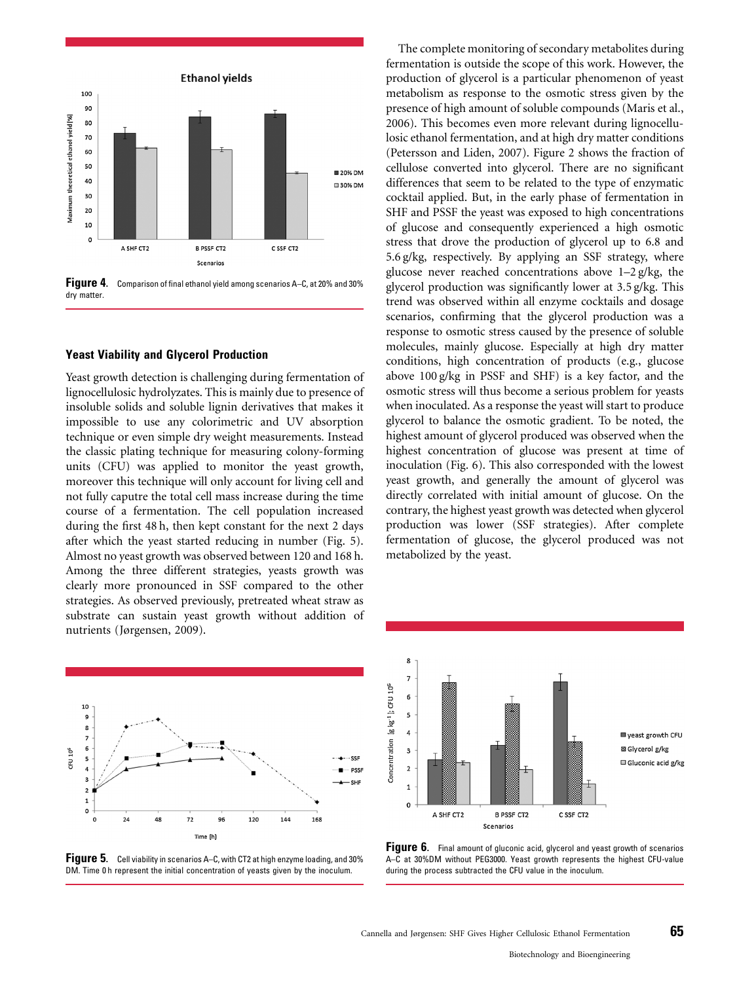

Figure 4. Comparison of final ethanol yield among scenarios A–C, at 20% and 30% dry matter.

#### Yeast Viability and Glycerol Production

Yeast growth detection is challenging during fermentation of lignocellulosic hydrolyzates. This is mainly due to presence of insoluble solids and soluble lignin derivatives that makes it impossible to use any colorimetric and UV absorption technique or even simple dry weight measurements. Instead the classic plating technique for measuring colony-forming units (CFU) was applied to monitor the yeast growth, moreover this technique will only account for living cell and not fully caputre the total cell mass increase during the time course of a fermentation. The cell population increased during the first 48 h, then kept constant for the next 2 days after which the yeast started reducing in number (Fig. 5). Almost no yeast growth was observed between 120 and 168 h. Among the three different strategies, yeasts growth was clearly more pronounced in SSF compared to the other strategies. As observed previously, pretreated wheat straw as substrate can sustain yeast growth without addition of nutrients (Jørgensen, 2009).



Figure 5. Cell viability in scenarios A–C, with CT2 at high enzyme loading, and 30% DM. Time 0 h represent the initial concentration of yeasts given by the inoculum.

The complete monitoring of secondary metabolites during fermentation is outside the scope of this work. However, the production of glycerol is a particular phenomenon of yeast metabolism as response to the osmotic stress given by the presence of high amount of soluble compounds (Maris et al., 2006). This becomes even more relevant during lignocellulosic ethanol fermentation, and at high dry matter conditions (Petersson and Liden, 2007). Figure 2 shows the fraction of cellulose converted into glycerol. There are no significant differences that seem to be related to the type of enzymatic cocktail applied. But, in the early phase of fermentation in SHF and PSSF the yeast was exposed to high concentrations of glucose and consequently experienced a high osmotic stress that drove the production of glycerol up to 6.8 and 5.6 g/kg, respectively. By applying an SSF strategy, where glucose never reached concentrations above 1–2 g/kg, the glycerol production was significantly lower at 3.5 g/kg. This trend was observed within all enzyme cocktails and dosage scenarios, confirming that the glycerol production was a response to osmotic stress caused by the presence of soluble molecules, mainly glucose. Especially at high dry matter conditions, high concentration of products (e.g., glucose above 100 g/kg in PSSF and SHF) is a key factor, and the osmotic stress will thus become a serious problem for yeasts when inoculated. As a response the yeast will start to produce glycerol to balance the osmotic gradient. To be noted, the highest amount of glycerol produced was observed when the highest concentration of glucose was present at time of inoculation (Fig. 6). This also corresponded with the lowest yeast growth, and generally the amount of glycerol was directly correlated with initial amount of glucose. On the contrary, the highest yeast growth was detected when glycerol production was lower (SSF strategies). After complete fermentation of glucose, the glycerol produced was not metabolized by the yeast.



Figure 6. Final amount of gluconic acid, glycerol and yeast growth of scenarios A–C at 30%DM without PEG3000. Yeast growth represents the highest CFU-value during the process subtracted the CFU value in the inoculum.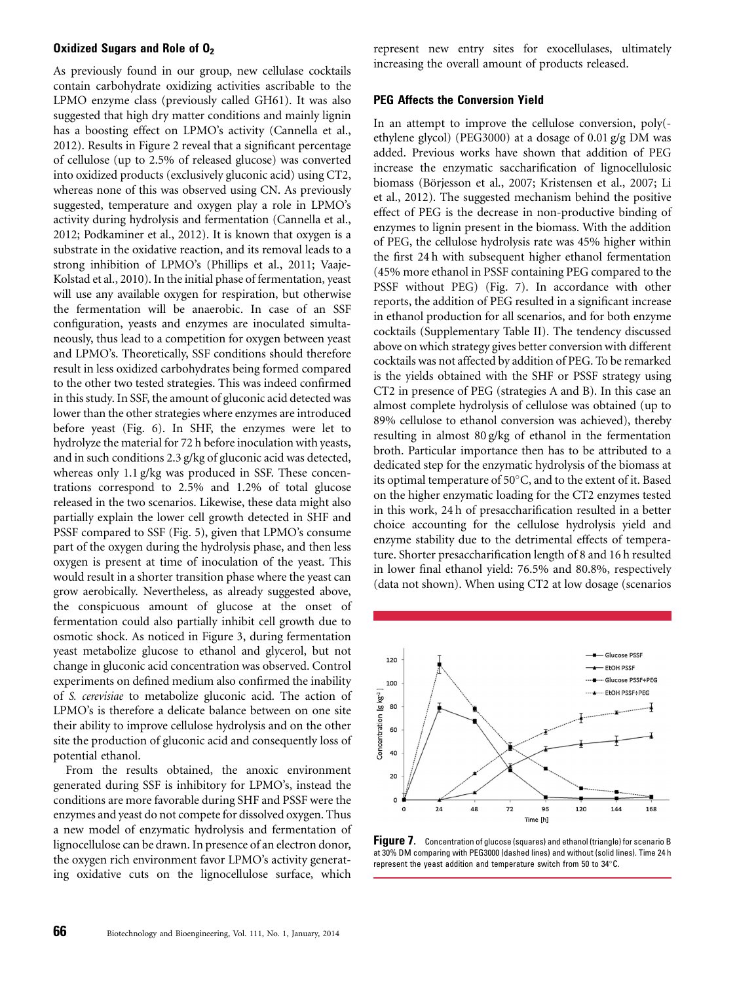#### Oxidized Sugars and Role of  $0<sub>2</sub>$

As previously found in our group, new cellulase cocktails contain carbohydrate oxidizing activities ascribable to the LPMO enzyme class (previously called GH61). It was also suggested that high dry matter conditions and mainly lignin has a boosting effect on LPMO's activity (Cannella et al., 2012). Results in Figure 2 reveal that a significant percentage of cellulose (up to 2.5% of released glucose) was converted into oxidized products (exclusively gluconic acid) using CT2, whereas none of this was observed using CN. As previously suggested, temperature and oxygen play a role in LPMO's activity during hydrolysis and fermentation (Cannella et al., 2012; Podkaminer et al., 2012). It is known that oxygen is a substrate in the oxidative reaction, and its removal leads to a strong inhibition of LPMO's (Phillips et al., 2011; Vaaje-Kolstad et al., 2010). In the initial phase of fermentation, yeast will use any available oxygen for respiration, but otherwise the fermentation will be anaerobic. In case of an SSF configuration, yeasts and enzymes are inoculated simultaneously, thus lead to a competition for oxygen between yeast and LPMO's. Theoretically, SSF conditions should therefore result in less oxidized carbohydrates being formed compared to the other two tested strategies. This was indeed confirmed in this study. In SSF, the amount of gluconic acid detected was lower than the other strategies where enzymes are introduced before yeast (Fig. 6). In SHF, the enzymes were let to hydrolyze the material for 72 h before inoculation with yeasts, and in such conditions 2.3 g/kg of gluconic acid was detected, whereas only 1.1 g/kg was produced in SSF. These concentrations correspond to 2.5% and 1.2% of total glucose released in the two scenarios. Likewise, these data might also partially explain the lower cell growth detected in SHF and PSSF compared to SSF (Fig. 5), given that LPMO's consume part of the oxygen during the hydrolysis phase, and then less oxygen is present at time of inoculation of the yeast. This would result in a shorter transition phase where the yeast can grow aerobically. Nevertheless, as already suggested above, the conspicuous amount of glucose at the onset of fermentation could also partially inhibit cell growth due to osmotic shock. As noticed in Figure 3, during fermentation yeast metabolize glucose to ethanol and glycerol, but not change in gluconic acid concentration was observed. Control experiments on defined medium also confirmed the inability of S. cerevisiae to metabolize gluconic acid. The action of LPMO's is therefore a delicate balance between on one site their ability to improve cellulose hydrolysis and on the other site the production of gluconic acid and consequently loss of potential ethanol.

From the results obtained, the anoxic environment generated during SSF is inhibitory for LPMO's, instead the conditions are more favorable during SHF and PSSF were the enzymes and yeast do not compete for dissolved oxygen. Thus a new model of enzymatic hydrolysis and fermentation of lignocellulose can be drawn. In presence of an electron donor, the oxygen rich environment favor LPMO's activity generating oxidative cuts on the lignocellulose surface, which

represent new entry sites for exocellulases, ultimately increasing the overall amount of products released.

#### PEG Affects the Conversion Yield

In an attempt to improve the cellulose conversion, poly( ethylene glycol) (PEG3000) at a dosage of 0.01 g/g DM was added. Previous works have shown that addition of PEG increase the enzymatic saccharification of lignocellulosic biomass (Börjesson et al., 2007; Kristensen et al., 2007; Li et al., 2012). The suggested mechanism behind the positive effect of PEG is the decrease in non-productive binding of enzymes to lignin present in the biomass. With the addition of PEG, the cellulose hydrolysis rate was 45% higher within the first 24 h with subsequent higher ethanol fermentation (45% more ethanol in PSSF containing PEG compared to the PSSF without PEG) (Fig. 7). In accordance with other reports, the addition of PEG resulted in a significant increase in ethanol production for all scenarios, and for both enzyme cocktails (Supplementary Table II). The tendency discussed above on which strategy gives better conversion with different cocktails was not affected by addition of PEG. To be remarked is the yields obtained with the SHF or PSSF strategy using CT2 in presence of PEG (strategies A and B). In this case an almost complete hydrolysis of cellulose was obtained (up to 89% cellulose to ethanol conversion was achieved), thereby resulting in almost 80 g/kg of ethanol in the fermentation broth. Particular importance then has to be attributed to a dedicated step for the enzymatic hydrolysis of the biomass at its optimal temperature of 50°C, and to the extent of it. Based on the higher enzymatic loading for the CT2 enzymes tested in this work, 24 h of presaccharification resulted in a better choice accounting for the cellulose hydrolysis yield and enzyme stability due to the detrimental effects of temperature. Shorter presaccharification length of 8 and 16 h resulted in lower final ethanol yield: 76.5% and 80.8%, respectively (data not shown). When using CT2 at low dosage (scenarios



Figure 7. Concentration of glucose (squares) and ethanol (triangle) for scenario B at 30% DM comparing with PEG3000 (dashed lines) and without (solid lines). Time 24 h represent the yeast addition and temperature switch from 50 to 34 $^{\circ}$ C.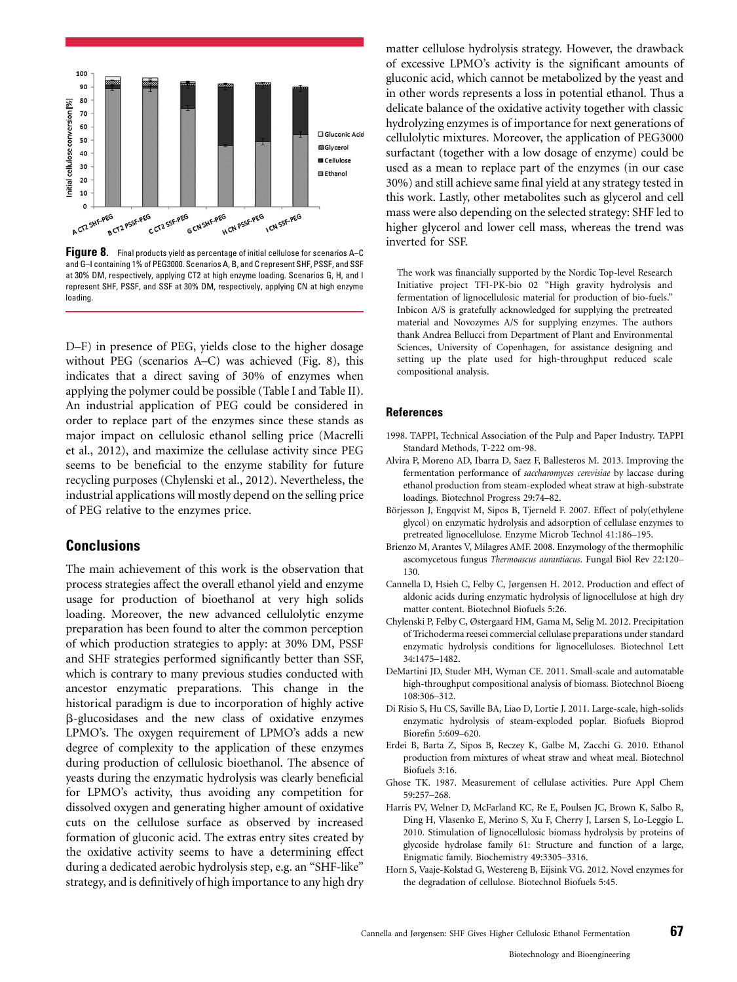

**Figure 8.** Final products yield as percentage of initial cellulose for scenarios A–C and G–I containing 1% of PEG3000. Scenarios A, B, and C represent SHF, PSSF, and SSF at 30% DM, respectively, applying CT2 at high enzyme loading. Scenarios G, H, and I represent SHF, PSSF, and SSF at 30% DM, respectively, applying CN at high enzyme loading.

D–F) in presence of PEG, yields close to the higher dosage without PEG (scenarios A–C) was achieved (Fig. 8), this indicates that a direct saving of 30% of enzymes when applying the polymer could be possible (Table I and Table II). An industrial application of PEG could be considered in order to replace part of the enzymes since these stands as major impact on cellulosic ethanol selling price (Macrelli et al., 2012), and maximize the cellulase activity since PEG seems to be beneficial to the enzyme stability for future recycling purposes (Chylenski et al., 2012). Nevertheless, the industrial applications will mostly depend on the selling price of PEG relative to the enzymes price.

# Conclusions

The main achievement of this work is the observation that process strategies affect the overall ethanol yield and enzyme usage for production of bioethanol at very high solids loading. Moreover, the new advanced cellulolytic enzyme preparation has been found to alter the common perception of which production strategies to apply: at 30% DM, PSSF and SHF strategies performed significantly better than SSF, which is contrary to many previous studies conducted with ancestor enzymatic preparations. This change in the historical paradigm is due to incorporation of highly active b-glucosidases and the new class of oxidative enzymes LPMO's. The oxygen requirement of LPMO's adds a new degree of complexity to the application of these enzymes during production of cellulosic bioethanol. The absence of yeasts during the enzymatic hydrolysis was clearly beneficial for LPMO's activity, thus avoiding any competition for dissolved oxygen and generating higher amount of oxidative cuts on the cellulose surface as observed by increased formation of gluconic acid. The extras entry sites created by the oxidative activity seems to have a determining effect during a dedicated aerobic hydrolysis step, e.g. an "SHF-like" strategy, and is definitively of high importance to any high dry matter cellulose hydrolysis strategy. However, the drawback of excessive LPMO's activity is the significant amounts of gluconic acid, which cannot be metabolized by the yeast and in other words represents a loss in potential ethanol. Thus a delicate balance of the oxidative activity together with classic hydrolyzing enzymes is of importance for next generations of cellulolytic mixtures. Moreover, the application of PEG3000 surfactant (together with a low dosage of enzyme) could be used as a mean to replace part of the enzymes (in our case 30%) and still achieve same final yield at any strategy tested in this work. Lastly, other metabolites such as glycerol and cell mass were also depending on the selected strategy: SHF led to higher glycerol and lower cell mass, whereas the trend was inverted for SSF.

The work was financially supported by the Nordic Top-level Research Initiative project TFI-PK-bio 02 "High gravity hydrolysis and fermentation of lignocellulosic material for production of bio-fuels." Inbicon A/S is gratefully acknowledged for supplying the pretreated material and Novozymes A/S for supplying enzymes. The authors thank Andrea Bellucci from Department of Plant and Environmental Sciences, University of Copenhagen, for assistance designing and setting up the plate used for high-throughput reduced scale compositional analysis.

#### References

- 1998. TAPPI, Technical Association of the Pulp and Paper Industry. TAPPI Standard Methods, T-222 om-98.
- Alvira P, Moreno AD, Ibarra D, Saez F, Ballesteros M. 2013. Improving the fermentation performance of saccharomyces cerevisiae by laccase during ethanol production from steam-exploded wheat straw at high-substrate loadings. Biotechnol Progress 29:74–82.
- Börjesson J, Engqvist M, Sipos B, Tjerneld F. 2007. Effect of poly(ethylene glycol) on enzymatic hydrolysis and adsorption of cellulase enzymes to pretreated lignocellulose. Enzyme Microb Technol 41:186–195.
- Brienzo M, Arantes V, Milagres AMF. 2008. Enzymology of the thermophilic ascomycetous fungus Thermoascus aurantiacus. Fungal Biol Rev 22:120– 130.
- Cannella D, Hsieh C, Felby C, Jørgensen H. 2012. Production and effect of aldonic acids during enzymatic hydrolysis of lignocellulose at high dry matter content. Biotechnol Biofuels 5:26.
- Chylenski P, Felby C, Østergaard HM, Gama M, Selig M. 2012. Precipitation of Trichoderma reesei commercial cellulase preparations under standard enzymatic hydrolysis conditions for lignocelluloses. Biotechnol Lett 34:1475–1482.
- DeMartini JD, Studer MH, Wyman CE. 2011. Small-scale and automatable high-throughput compositional analysis of biomass. Biotechnol Bioeng 108:306–312.
- Di Risio S, Hu CS, Saville BA, Liao D, Lortie J. 2011. Large-scale, high-solids enzymatic hydrolysis of steam-exploded poplar. Biofuels Bioprod Biorefin 5:609–620.
- Erdei B, Barta Z, Sipos B, Reczey K, Galbe M, Zacchi G. 2010. Ethanol production from mixtures of wheat straw and wheat meal. Biotechnol Biofuels 3:16.
- Ghose TK. 1987. Measurement of cellulase activities. Pure Appl Chem 59:257–268.
- Harris PV, Welner D, McFarland KC, Re E, Poulsen JC, Brown K, Salbo R, Ding H, Vlasenko E, Merino S, Xu F, Cherry J, Larsen S, Lo-Leggio L. 2010. Stimulation of lignocellulosic biomass hydrolysis by proteins of glycoside hydrolase family 61: Structure and function of a large, Enigmatic family. Biochemistry 49:3305–3316.
- Horn S, Vaaje-Kolstad G, Westereng B, Eijsink VG. 2012. Novel enzymes for the degradation of cellulose. Biotechnol Biofuels 5:45.